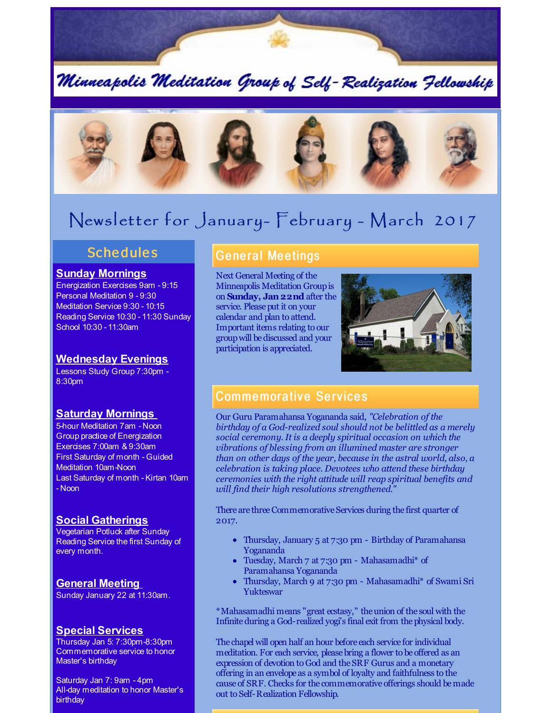

Minneapolis Meditation Group of Self-Realization Fellowship



# Newsletter for January- February - March 2017

## **Schedules**

#### **Sunday Mornings**

Energization Exercises 9am - 9:15 Personal Meditation 9 - 9:30 Meditation Service 9:30 - 10:15 Reading Service 10:30 - 11:30 Sunday School 10:30 - 11:30am

#### **Wednesday Evenings**

Lessons Study Group 7:30pm - 8:30pm

#### **Saturday Mornings**

5-hour Meditation 7am - Noon Group practice of Energization Exercises 7:00am & 9:30am First Saturday of month - Guided Meditation 10am-Noon Last Saturday of month - Kirtan 10am - Noon

### **Social Gatherings**

Vegetarian Potluck after Sunday Reading Service the first Sunday of every month.

**General Meeting** Sunday January 22 at 11:30am.

#### **Special Services**

Thursday Jan 5: 7:30pm-8:30pm Commemorative service to honor Master's birthday

Saturday Jan 7: 9am - 4pm All-day meditation to honor Master's birthday

## **General Meetings**

Next General Meeting of the Minneapolis Meditation Groupis on **Sunday, Jan22nd** after the service. Please put it on your calendar and plan to attend. Important items relating to our groupwill bediscussed and your participation is appreciated.



## **Commemorative Services**

Our Guru Paramahansa Yogananda said, *"Celebration of the birthday of a God-realized soul should not be belittled as a merely social ceremony. It is a deeply spiritual occasion on which the vibrations of blessing from an illumined master are stronger than on other days of the year, because in the astral world, also, a celebration is taking place. Devotees who attend these birthday ceremonies with the right attitude will reap spiritual benefits and will find their high resolutions strengthened."*

There are three Commemorative Services during the first quarter of 2017.

- Thursday, January 5 at 7:30 pm Birthday of Paramahansa Yogananda
- Tuesday, March 7 at 7:30 pm Mahasamadhi\* of Paramahansa Yogananda
- Thursday, March 9 at 7:30 pm Mahasamadhi\* of Swami Sri  $\bullet$ Yukteswar

\*Mahasamadhi means "great ecstasy," theunion of the soul with the Infiniteduring a God-realized yogi's final exit from thephysical body.

The chapel will open half an hour before each service for individual meditation. For each service, pleasebring a flower to be offered as an expression of devotion to God and theSRF Gurus and a monetary offering in an envelope as a symbol of loyalty and faithfulness to the cause of SRF. Checks for the commemorative offerings should bemade out to Self-Realization Fellowship.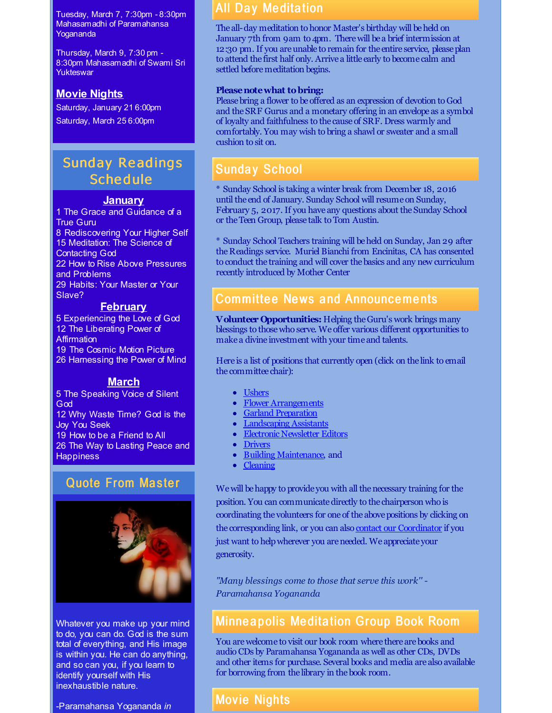Tuesday, March 7, 7:30pm - 8:30pm Mahasamadhi of Paramahansa Yogananda

Thursday, March 9, 7:30 pm - 8:30pm Mahasamadhi of Swami Sri **Yukteswar** 

### **Movie Nights**

Saturday, January 21 6:00pm Saturday, March 25 6:00pm

## Sunday Re adings **Schedule**

#### **January**

1 The Grace and Guidance of a True Guru 8 Rediscovering Your Higher Self 15 Meditation: The Science of Contacting God 22 How to Rise Above Pressures and Problems 29 Habits: Your Master or Your Slave?

## **February**

 Experiencing the Love of God The Liberating Power of **Affirmation**  The Cosmic Motion Picture Harnessing the Power of Mind

### **March**

5 The Speaking Voice of Silent God 12 Why Waste Time? God is the Joy You Seek 19 How to be a Friend to All 26 The Way to Lasting Peace and **Happiness** 

## **Quote From Master**



Whatever you make up your mind to do, you can do. God is the sum total of everything, and His image is within you. He can do anything, and so can you, if you learn to identify yourself with His inexhaustible nature.

-Paramahansa Yogananda *in*

## **All Day Meditation**

The all-day meditation to honor Master's birthday will be held on January 7th from 9am to 4pm. Therewill be a brief intermission at 12:30 pm. If you are unable to remain for the entire service, please plan to attend the first half only. Arrive a little early to become calm and settled before meditation begins.

#### **Pleasenotewhat tobring:**

Pleasebring a flower to be offered as an expression of devotion to God and theSRF Gurus and a monetary offering in an envelope as a symbol of loyalty and faithfulness to the cause of SRF. Dress warmly and comfortably. You may wish to bring a shawl or sweater and a small cushion to sit on.

## **Sunday School**

\* Sunday School is taking a winter break from December 18, 2016 until the end of January. Sunday School will resume on Sunday, February 5, 2017. If you have any questions about the Sunday School or theTeen Group, please talk to Tom Austin.

\* Sunday School Teachers training will beheld on Sunday, Jan 29 after theReadings service. Muriel Bianchi from Encinitas, CA has consented to conduct the training and will cover thebasics and any new curriculum recently introduced by Mother Center

## Committee News and Announcements

**Volunteer Opportunities:** Helping theGuru's work brings many blessings to thosewho serve. We offer various different opportunities to make a divine investment with your time and talents.

Here is a list of positions that currently open (click on the link to email the committee chair):

- [Ushers](mailto:ushers@srfminneapolis.org)
- Flower [Arrangements](mailto:flowers@srfminneapolis.org)
- Garland [Preparation](mailto:garlands@srfminneapolis.org)
- [Landscaping](mailto:landscaping@srfminneapolis.org) Assistants
- Electronic [Newsletter](mailto:terry.schwab@srfminneapolis.org) Editors
- [Drivers](mailto:sunshine@srfminneapolis.org)
- Building [Maintenance](mailto:maintenance@srfminneapolis.org), and
- **[Cleaning](mailto:cleaning@srfminneapolis.org)**

We will be happy to provide you with all the necessary training for the position. You can communicatedirectly to the chairperson who is coordinating the volunteers for one of the above positions by clicking on the corresponding link, or you can also contact our [Coordinator](mailto:coordinator@srfminneapolis.org) if you just want to helpwherever you areneeded. We appreciate your generosity.

*"Many blessings come to those that serve this work'' - Paramahansa Yogananda*

### **Minneapolis Meditation Group Book Room**

You arewelcome to visit our book room where there arebooks and audioCDs by Paramahansa Yogananda as well as other CDs, DVDs and other items for purchase. Several books and media are also available for borrowing from the library in the book room.

## **Movie Nights**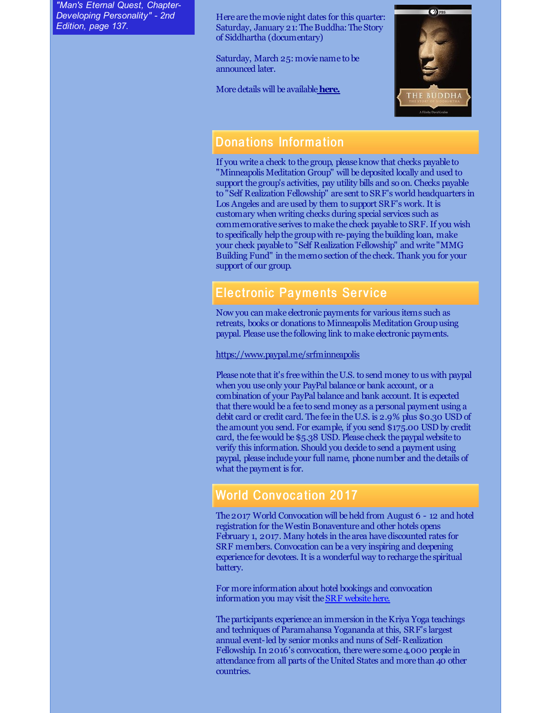*"Man's Eternal Quest, Chapter-Developing Personality" - 2nd Edition, page 137.*

Here are themovienight dates for this quarter: Saturday, January 21: The Buddha: The Story of Siddhartha (documentary)

Saturday, March 25: moviename to be announced later.

Moredetails will be available**[here.](http://www.srfminneapolis.org/movienight.html)**



### Dona tions Informa tion

If you write a check to the group, please know that checks payable to "Minneapolis Meditation Group" will be deposited locally and used to support the group's activities, pay utility bills and so on. Checks payable to "Self Realization Fellowship" are sent to SRF's world headquarters in Los Angeles and are used by them to support SRF's work. It is customary when writing checks during special services such as commemorative serives to make the check payable to SRF. If you wish to specifically help the group with re-paying the building loan, make your check payable to "Self Realization Fellowship" and write "MMG Building Fund" in thememo section of the check. Thank you for your support of our group.

## **Electronic Payments Service**

Now you can make electronic payments for various items such as retreats, books or donations to Minneapolis Meditation Groupusing paypal. Please use the following link to make electronic payments.

<https://www.paypal.me/srfminneapolis>

Please note that it's free within the U.S. to send money to us with paypal when you use only your PayPal balance or bank account, or a combination of your PayPal balance and bank account. It is expected that therewould be a fee to send money as a personal payment using a debit card or credit card. The fee in the U.S. is 2.9% plus \$0.30 USD of the amount you send. For example, if you send \$175.00 USD by credit card, the fee would be \$5.38 USD. Please check the paypal website to verify this information. Should you decide to send a payment using paypal, please include your full name, phonenumber and thedetails of what the payment is for.

### **World Convocation 2017**

The2017 World Convocation will beheld from August 6 - 12 and hotel registration for theWestin Bonaventure and other hotels opens February 1, 2017. Many hotels in the area have discounted rates for SRF members. Convocation can be a very inspiring and deepening experience for devotees. It is a wonderful way to recharge the spiritual battery.

For more information about hotel bookings and convocation information you may visit the **SRF** website here.

The participants experience an immersion in the Kriya Yoga teachings and techniques of Paramahansa Yogananda at this, SRF's largest annual event-led by senior monks and nuns of Self-Realization Fellowship. In 2016's convocation, there were some 4,000 people in attendance from all parts of the United States and more than 40 other countries.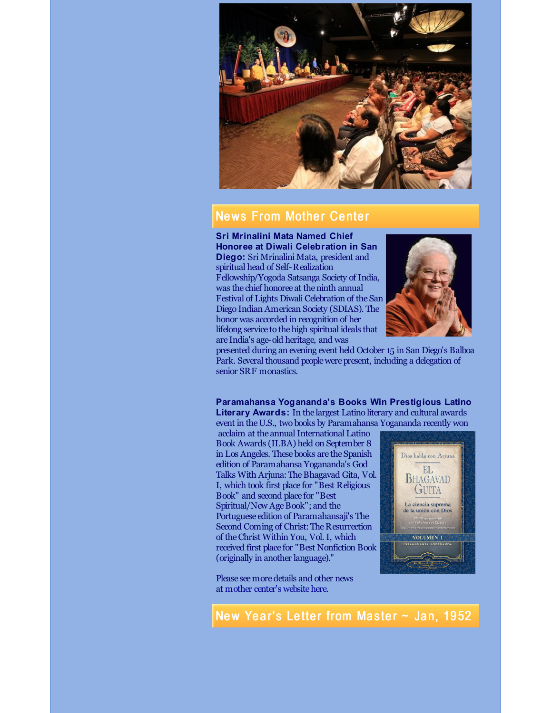

### **News From Mother Center**

**Sri Mrinalini Mata Named Chief Honoree at Diwali Celebration in San Diego:** Sri Mrinalini Mata, president and spiritual head of Self-Realization Fellowship/Yogoda Satsanga Society of India, was the chief honoree at the ninth annual Festival of Lights Diwali Celebration of theSan Diego Indian American Society (SDIAS). The honor was accorded in recognition of her lifelong service to the high spiritual ideals that are India's age-old heritage, and was



presented during an evening event held October 15 in San Diego's Balboa Park. Several thousand peoplewerepresent, including a delegation of senior SRF monastics.

**Paramahansa Yogananda's Books Win Prestigious Latino Literary Awards:** In the largest Latino literary and cultural awards event in theU.S., two books by Paramahansa Yogananda recently won

acclaim at the annual International Latino Book Awards (ILBA) held on September 8 in Los Angeles. These books are the Spanish edition of Paramahansa Yogananda's God Talks With Arjuna:TheBhagavad Gita, Vol. I, which took first place for "Best Religious Book" and second place for "Best Spiritual/New AgeBook"; and the Portuguese edition of Paramahansaji's The Second Coming of Christ: The Resurrection of theChrist Within You, Vol. I, which received first place for "Best Nonfiction Book (originally in another language)."

Please seemoredetails and other news at mother center's [websitehere](http://www.yogananda-srf.org/News.aspx#.WGXpovkrKUk).



New Year's Letter from Master  $\sim$  Jan, 1952